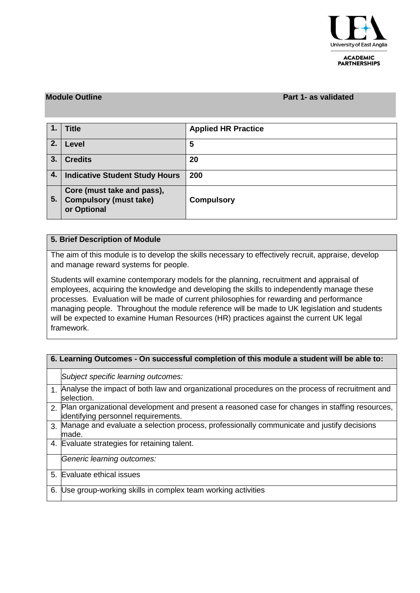

#### **ACADEMIC PARTNERSHIPS**

### **Module Outline Part 1- as validated**

| 1.  | <b>Title</b>                                                               | <b>Applied HR Practice</b> |
|-----|----------------------------------------------------------------------------|----------------------------|
| 2.  | Level                                                                      | 5                          |
| 3.  | <b>Credits</b>                                                             | 20                         |
| 4.1 | <b>Indicative Student Study Hours</b>                                      | 200                        |
| 5.  | Core (must take and pass),<br><b>Compulsory (must take)</b><br>or Optional | <b>Compulsory</b>          |

## **5. Brief Description of Module**

The aim of this module is to develop the skills necessary to effectively recruit, appraise, develop and manage reward systems for people.

Students will examine contemporary models for the planning, recruitment and appraisal of employees, acquiring the knowledge and developing the skills to independently manage these processes. Evaluation will be made of current philosophies for rewarding and performance managing people. Throughout the module reference will be made to UK legislation and students will be expected to examine Human Resources (HR) practices against the current UK legal framework.

| 6. Learning Outcomes - On successful completion of this module a student will be able to: |                                                                                                                                       |  |  |  |  |  |
|-------------------------------------------------------------------------------------------|---------------------------------------------------------------------------------------------------------------------------------------|--|--|--|--|--|
|                                                                                           | Subject specific learning outcomes:                                                                                                   |  |  |  |  |  |
|                                                                                           | 1. Analyse the impact of both law and organizational procedures on the process of recruitment and<br>selection.                       |  |  |  |  |  |
| $\mathcal{P}$                                                                             | Plan organizational development and present a reasoned case for changes in staffing resources,<br>identifying personnel requirements. |  |  |  |  |  |
| $\mathcal{R}$                                                                             | Manage and evaluate a selection process, professionally communicate and justify decisions<br>made.                                    |  |  |  |  |  |
| 4.                                                                                        | Evaluate strategies for retaining talent.                                                                                             |  |  |  |  |  |
|                                                                                           | Generic learning outcomes:                                                                                                            |  |  |  |  |  |
| 5.                                                                                        | Evaluate ethical issues                                                                                                               |  |  |  |  |  |
| 6.                                                                                        | Use group-working skills in complex team working activities                                                                           |  |  |  |  |  |